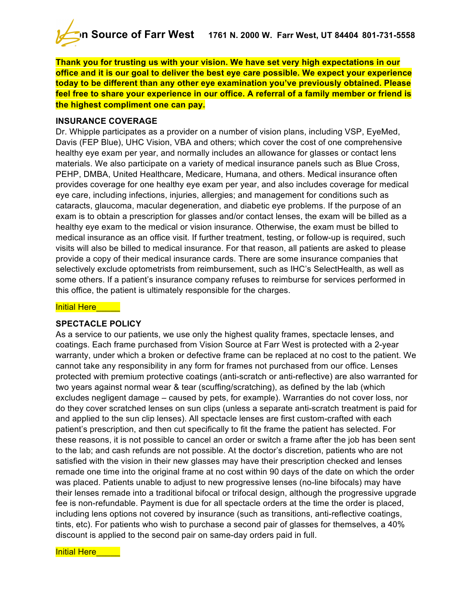

**Thank you for trusting us with your vision. We have set very high expectations in our office and it is our goal to deliver the best eye care possible. We expect your experience today to be different than any other eye examination you've previously obtained. Please feel free to share your experience in our office. A referral of a family member or friend is the highest compliment one can pay.**

### **INSURANCE COVERAGE**

Dr. Whipple participates as a provider on a number of vision plans, including VSP, EyeMed, Davis (FEP Blue), UHC Vision, VBA and others; which cover the cost of one comprehensive healthy eye exam per year, and normally includes an allowance for glasses or contact lens materials. We also participate on a variety of medical insurance panels such as Blue Cross, PEHP, DMBA, United Healthcare, Medicare, Humana, and others. Medical insurance often provides coverage for one healthy eye exam per year, and also includes coverage for medical eye care, including infections, injuries, allergies; and management for conditions such as cataracts, glaucoma, macular degeneration, and diabetic eye problems. If the purpose of an exam is to obtain a prescription for glasses and/or contact lenses, the exam will be billed as a healthy eye exam to the medical or vision insurance. Otherwise, the exam must be billed to medical insurance as an office visit. If further treatment, testing, or follow-up is required, such visits will also be billed to medical insurance. For that reason, all patients are asked to please provide a copy of their medical insurance cards. There are some insurance companies that selectively exclude optometrists from reimbursement, such as IHC's SelectHealth, as well as some others. If a patient's insurance company refuses to reimburse for services performed in this office, the patient is ultimately responsible for the charges.

#### Initial Here

## **SPECTACLE POLICY**

As a service to our patients, we use only the highest quality frames, spectacle lenses, and coatings. Each frame purchased from Vision Source at Farr West is protected with a 2-year warranty, under which a broken or defective frame can be replaced at no cost to the patient. We cannot take any responsibility in any form for frames not purchased from our office. Lenses protected with premium protective coatings (anti-scratch or anti-reflective) are also warranted for two years against normal wear & tear (scuffing/scratching), as defined by the lab (which excludes negligent damage – caused by pets, for example). Warranties do not cover loss, nor do they cover scratched lenses on sun clips (unless a separate anti-scratch treatment is paid for and applied to the sun clip lenses). All spectacle lenses are first custom-crafted with each patient's prescription, and then cut specifically to fit the frame the patient has selected. For these reasons, it is not possible to cancel an order or switch a frame after the job has been sent to the lab; and cash refunds are not possible. At the doctor's discretion, patients who are not satisfied with the vision in their new glasses may have their prescription checked and lenses remade one time into the original frame at no cost within 90 days of the date on which the order was placed. Patients unable to adjust to new progressive lenses (no-line bifocals) may have their lenses remade into a traditional bifocal or trifocal design, although the progressive upgrade fee is non-refundable. Payment is due for all spectacle orders at the time the order is placed, including lens options not covered by insurance (such as transitions, anti-reflective coatings, tints, etc). For patients who wish to purchase a second pair of glasses for themselves, a 40% discount is applied to the second pair on same-day orders paid in full.

#### **Initial Here**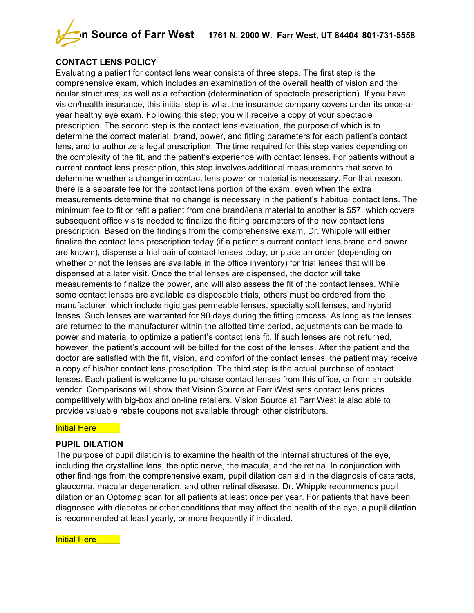

# **CONTACT LENS POLICY**

Evaluating a patient for contact lens wear consists of three steps. The first step is the comprehensive exam, which includes an examination of the overall health of vision and the ocular structures, as well as a refraction (determination of spectacle prescription). If you have vision/health insurance, this initial step is what the insurance company covers under its once-ayear healthy eye exam. Following this step, you will receive a copy of your spectacle prescription. The second step is the contact lens evaluation, the purpose of which is to determine the correct material, brand, power, and fitting parameters for each patient's contact lens, and to authorize a legal prescription. The time required for this step varies depending on the complexity of the fit, and the patient's experience with contact lenses. For patients without a current contact lens prescription, this step involves additional measurements that serve to determine whether a change in contact lens power or material is necessary. For that reason, there is a separate fee for the contact lens portion of the exam, even when the extra measurements determine that no change is necessary in the patient's habitual contact lens. The minimum fee to fit or refit a patient from one brand/lens material to another is \$57, which covers subsequent office visits needed to finalize the fitting parameters of the new contact lens prescription. Based on the findings from the comprehensive exam, Dr. Whipple will either finalize the contact lens prescription today (if a patient's current contact lens brand and power are known), dispense a trial pair of contact lenses today, or place an order (depending on whether or not the lenses are available in the office inventory) for trial lenses that will be dispensed at a later visit. Once the trial lenses are dispensed, the doctor will take measurements to finalize the power, and will also assess the fit of the contact lenses. While some contact lenses are available as disposable trials, others must be ordered from the manufacturer; which include rigid gas permeable lenses, specialty soft lenses, and hybrid lenses. Such lenses are warranted for 90 days during the fitting process. As long as the lenses are returned to the manufacturer within the allotted time period, adjustments can be made to power and material to optimize a patient's contact lens fit. If such lenses are not returned, however, the patient's account will be billed for the cost of the lenses. After the patient and the doctor are satisfied with the fit, vision, and comfort of the contact lenses, the patient may receive a copy of his/her contact lens prescription. The third step is the actual purchase of contact lenses. Each patient is welcome to purchase contact lenses from this office, or from an outside vendor. Comparisons will show that Vision Source at Farr West sets contact lens prices competitively with big-box and on-line retailers. Vision Source at Farr West is also able to provide valuable rebate coupons not available through other distributors.

## Initial Here

## **PUPIL DILATION**

The purpose of pupil dilation is to examine the health of the internal structures of the eye, including the crystalline lens, the optic nerve, the macula, and the retina. In conjunction with other findings from the comprehensive exam, pupil dilation can aid in the diagnosis of cataracts, glaucoma, macular degeneration, and other retinal disease. Dr. Whipple recommends pupil dilation or an Optomap scan for all patients at least once per year. For patients that have been diagnosed with diabetes or other conditions that may affect the health of the eye, a pupil dilation is recommended at least yearly, or more frequently if indicated.

Initial Here